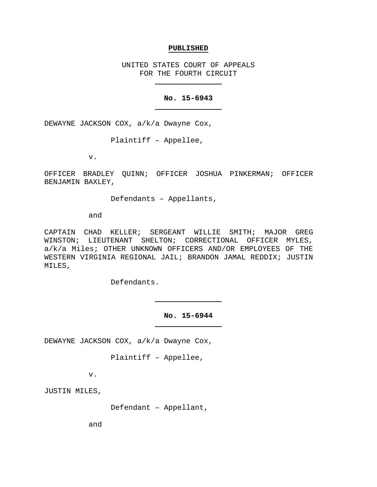## **PUBLISHED**

UNITED STATES COURT OF APPEALS FOR THE FOURTH CIRCUIT

# **No. 15-6943**

DEWAYNE JACKSON COX, a/k/a Dwayne Cox,

Plaintiff – Appellee,

v.

OFFICER BRADLEY QUINN; OFFICER JOSHUA PINKERMAN; OFFICER BENJAMIN BAXLEY,

Defendants – Appellants,

and

CAPTAIN CHAD KELLER; SERGEANT WILLIE SMITH; MAJOR GREG WINSTON; LIEUTENANT SHELTON; CORRECTIONAL OFFICER MYLES, a/k/a Miles; OTHER UNKNOWN OFFICERS AND/OR EMPLOYEES OF THE WESTERN VIRGINIA REGIONAL JAIL; BRANDON JAMAL REDDIX; JUSTIN MILES,

Defendants.

**No. 15-6944**

DEWAYNE JACKSON COX, a/k/a Dwayne Cox,

Plaintiff – Appellee,

v.

JUSTIN MILES,

Defendant – Appellant,

and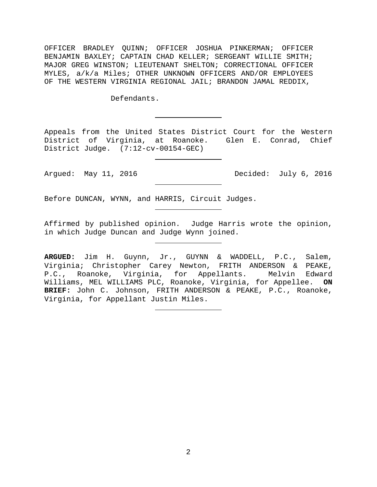OFFICER BRADLEY QUINN; OFFICER JOSHUA PINKERMAN; OFFICER BENJAMIN BAXLEY; CAPTAIN CHAD KELLER; SERGEANT WILLIE SMITH; MAJOR GREG WINSTON; LIEUTENANT SHELTON; CORRECTIONAL OFFICER MYLES, a/k/a Miles; OTHER UNKNOWN OFFICERS AND/OR EMPLOYEES OF THE WESTERN VIRGINIA REGIONAL JAIL; BRANDON JAMAL REDDIX,

Defendants.

Appeals from the United States District Court for the Western District of Virginia, at Roanoke. Glen E. Conrad, Chief District Judge. (7:12-cv-00154-GEC)

Argued: May 11, 2016 Decided: July 6, 2016

Before DUNCAN, WYNN, and HARRIS, Circuit Judges.

Affirmed by published opinion. Judge Harris wrote the opinion, in which Judge Duncan and Judge Wynn joined.

**ARGUED:** Jim H. Guynn, Jr., GUYNN & WADDELL, P.C., Salem, Virginia; Christopher Carey Newton, FRITH ANDERSON & PEAKE, P.C., Roanoke, Virginia, for Appellants. Melvin Edward Williams, MEL WILLIAMS PLC, Roanoke, Virginia, for Appellee. **ON BRIEF:** John C. Johnson, FRITH ANDERSON & PEAKE, P.C., Roanoke, Virginia, for Appellant Justin Miles.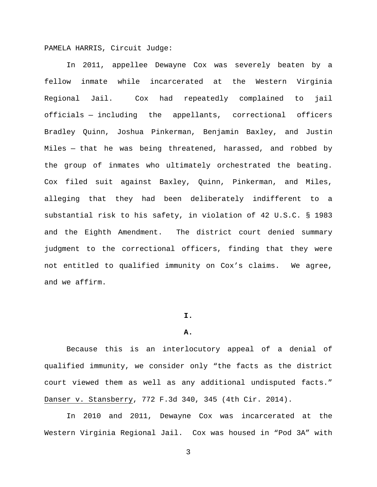PAMELA HARRIS, Circuit Judge:

In 2011, appellee Dewayne Cox was severely beaten by a fellow inmate while incarcerated at the Western Virginia Regional Jail. Cox had repeatedly complained to jail officials — including the appellants, correctional officers Bradley Quinn, Joshua Pinkerman, Benjamin Baxley, and Justin Miles — that he was being threatened, harassed, and robbed by the group of inmates who ultimately orchestrated the beating. Cox filed suit against Baxley, Quinn, Pinkerman, and Miles, alleging that they had been deliberately indifferent to a substantial risk to his safety, in violation of 42 U.S.C. § 1983 and the Eighth Amendment. The district court denied summary judgment to the correctional officers, finding that they were not entitled to qualified immunity on Cox's claims. We agree, and we affirm.

## **I.**

#### **A.**

Because this is an interlocutory appeal of a denial of qualified immunity, we consider only "the facts as the district court viewed them as well as any additional undisputed facts." Danser v. Stansberry, 772 F.3d 340, 345 (4th Cir. 2014).

In 2010 and 2011, Dewayne Cox was incarcerated at the Western Virginia Regional Jail. Cox was housed in "Pod 3A" with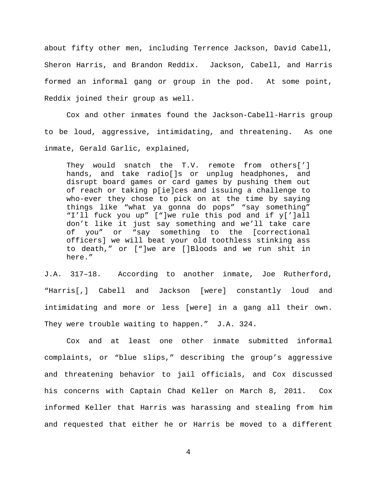about fifty other men, including Terrence Jackson, David Cabell, Sheron Harris, and Brandon Reddix. Jackson, Cabell, and Harris formed an informal gang or group in the pod. At some point, Reddix joined their group as well.

Cox and other inmates found the Jackson-Cabell-Harris group to be loud, aggressive, intimidating, and threatening. As one inmate, Gerald Garlic, explained,

They would snatch the T.V. remote from others['] hands, and take radio[]s or unplug headphones, and disrupt board games or card games by pushing them out of reach or taking p[ie]ces and issuing a challenge to who-ever they chose to pick on at the time by saying things like "what ya gonna do pops" "say something" "I'll fuck you up" ["]we rule this pod and if y[']all don't like it just say something and we'll take care of you" or "say something to the [correctional officers] we will beat your old toothless stinking ass to death," or ["]we are []Bloods and we run shit in here."

J.A. 317–18. According to another inmate, Joe Rutherford, "Harris[,] Cabell and Jackson [were] constantly loud and intimidating and more or less [were] in a gang all their own. They were trouble waiting to happen." J.A. 324.

Cox and at least one other inmate submitted informal complaints, or "blue slips," describing the group's aggressive and threatening behavior to jail officials, and Cox discussed his concerns with Captain Chad Keller on March 8, 2011. Cox informed Keller that Harris was harassing and stealing from him and requested that either he or Harris be moved to a different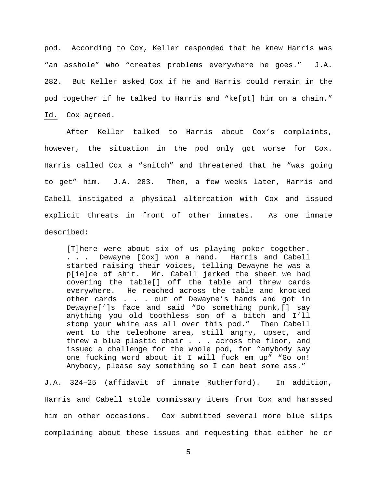pod. According to Cox, Keller responded that he knew Harris was "an asshole" who "creates problems everywhere he goes." J.A. 282. But Keller asked Cox if he and Harris could remain in the pod together if he talked to Harris and "ke[pt] him on a chain." Id. Cox agreed.

After Keller talked to Harris about Cox's complaints, however, the situation in the pod only got worse for Cox. Harris called Cox a "snitch" and threatened that he "was going to get" him. J.A. 283. Then, a few weeks later, Harris and Cabell instigated a physical altercation with Cox and issued explicit threats in front of other inmates. As one inmate described:

[T]here were about six of us playing poker together. . . . Dewayne [Cox] won a hand. Harris and Cabell started raising their voices, telling Dewayne he was a p[ie]ce of shit. Mr. Cabell jerked the sheet we had covering the table[] off the table and threw cards everywhere. He reached across the table and knocked other cards . . . out of Dewayne's hands and got in Dewayne[']s face and said "Do something punk,[] say anything you old toothless son of a bitch and I'll stomp your white ass all over this pod." Then Cabell went to the telephone area, still angry, upset, and threw a blue plastic chair . . . across the floor, and issued a challenge for the whole pod, for "anybody say one fucking word about it I will fuck em up" "Go on! Anybody, please say something so I can beat some ass."

J.A. 324–25 (affidavit of inmate Rutherford). In addition, Harris and Cabell stole commissary items from Cox and harassed him on other occasions. Cox submitted several more blue slips complaining about these issues and requesting that either he or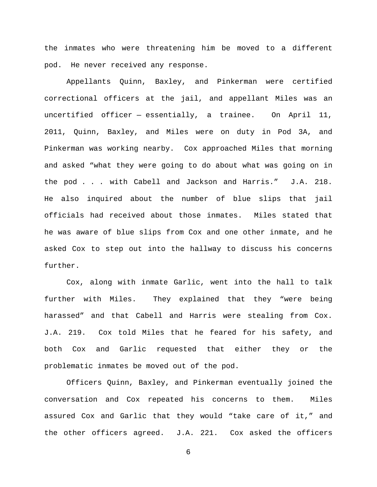the inmates who were threatening him be moved to a different pod. He never received any response.

Appellants Quinn, Baxley, and Pinkerman were certified correctional officers at the jail, and appellant Miles was an uncertified officer — essentially, a trainee. On April 11, 2011, Quinn, Baxley, and Miles were on duty in Pod 3A, and Pinkerman was working nearby. Cox approached Miles that morning and asked "what they were going to do about what was going on in the pod . . . with Cabell and Jackson and Harris." J.A. 218. He also inquired about the number of blue slips that jail officials had received about those inmates. Miles stated that he was aware of blue slips from Cox and one other inmate, and he asked Cox to step out into the hallway to discuss his concerns further.

Cox, along with inmate Garlic, went into the hall to talk further with Miles. They explained that they "were being harassed" and that Cabell and Harris were stealing from Cox. J.A. 219. Cox told Miles that he feared for his safety, and both Cox and Garlic requested that either they or the problematic inmates be moved out of the pod.

Officers Quinn, Baxley, and Pinkerman eventually joined the conversation and Cox repeated his concerns to them. Miles assured Cox and Garlic that they would "take care of it," and the other officers agreed. J.A. 221. Cox asked the officers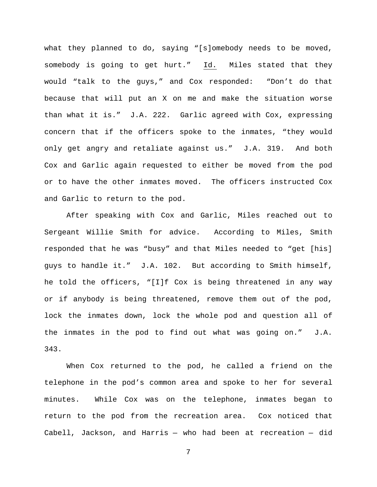what they planned to do, saying "[s]omebody needs to be moved, somebody is going to get hurt." Id. Miles stated that they would "talk to the guys," and Cox responded: "Don't do that because that will put an X on me and make the situation worse than what it is." J.A. 222. Garlic agreed with Cox, expressing concern that if the officers spoke to the inmates, "they would only get angry and retaliate against us." J.A. 319. And both Cox and Garlic again requested to either be moved from the pod or to have the other inmates moved. The officers instructed Cox and Garlic to return to the pod.

After speaking with Cox and Garlic, Miles reached out to Sergeant Willie Smith for advice. According to Miles, Smith responded that he was "busy" and that Miles needed to "get [his] guys to handle it." J.A. 102. But according to Smith himself, he told the officers, "[I]f Cox is being threatened in any way or if anybody is being threatened, remove them out of the pod, lock the inmates down, lock the whole pod and question all of the inmates in the pod to find out what was going on." J.A. 343.

When Cox returned to the pod, he called a friend on the telephone in the pod's common area and spoke to her for several minutes. While Cox was on the telephone, inmates began to return to the pod from the recreation area. Cox noticed that Cabell, Jackson, and Harris — who had been at recreation — did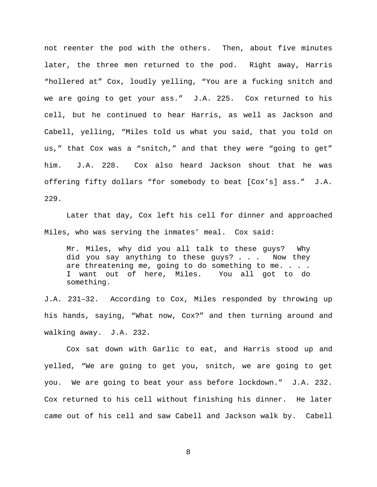not reenter the pod with the others. Then, about five minutes later, the three men returned to the pod. Right away, Harris "hollered at" Cox, loudly yelling, "You are a fucking snitch and we are going to get your ass." J.A. 225. Cox returned to his cell, but he continued to hear Harris, as well as Jackson and Cabell, yelling, "Miles told us what you said, that you told on us," that Cox was a "snitch," and that they were "going to get" him. J.A. 228. Cox also heard Jackson shout that he was offering fifty dollars "for somebody to beat [Cox's] ass." J.A. 229.

Later that day, Cox left his cell for dinner and approached Miles, who was serving the inmates' meal. Cox said:

Mr. Miles, why did you all talk to these guys? Why did you say anything to these guys? . . . Now they are threatening me, going to do something to me. . . . I want out of here, Miles. You all got to do something.

J.A. 231–32. According to Cox, Miles responded by throwing up his hands, saying, "What now, Cox?" and then turning around and walking away. J.A. 232.

Cox sat down with Garlic to eat, and Harris stood up and yelled, "We are going to get you, snitch, we are going to get you. We are going to beat your ass before lockdown." J.A. 232. Cox returned to his cell without finishing his dinner. He later came out of his cell and saw Cabell and Jackson walk by. Cabell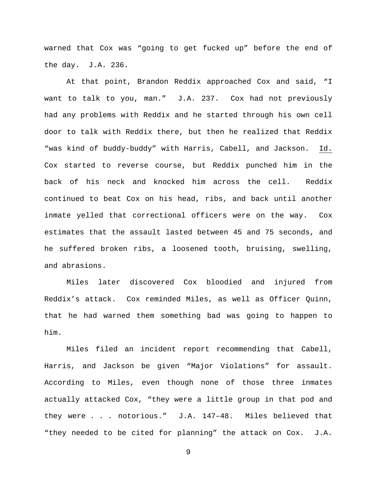warned that Cox was "going to get fucked up" before the end of the day. J.A. 236.

At that point, Brandon Reddix approached Cox and said, "I want to talk to you, man." J.A. 237. Cox had not previously had any problems with Reddix and he started through his own cell door to talk with Reddix there, but then he realized that Reddix "was kind of buddy-buddy" with Harris, Cabell, and Jackson. Id. Cox started to reverse course, but Reddix punched him in the back of his neck and knocked him across the cell. Reddix continued to beat Cox on his head, ribs, and back until another inmate yelled that correctional officers were on the way. Cox estimates that the assault lasted between 45 and 75 seconds, and he suffered broken ribs, a loosened tooth, bruising, swelling, and abrasions.

Miles later discovered Cox bloodied and injured from Reddix's attack. Cox reminded Miles, as well as Officer Quinn, that he had warned them something bad was going to happen to him.

Miles filed an incident report recommending that Cabell, Harris, and Jackson be given "Major Violations" for assault. According to Miles, even though none of those three inmates actually attacked Cox, "they were a little group in that pod and they were . . . notorious." J.A. 147–48. Miles believed that "they needed to be cited for planning" the attack on Cox. J.A.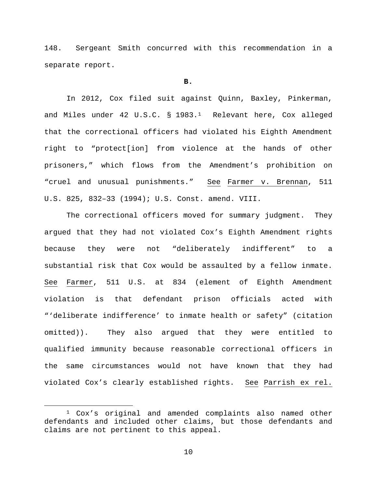148. Sergeant Smith concurred with this recommendation in a separate report.

#### **B.**

In 2012, Cox filed suit against Quinn, Baxley, Pinkerman, and Miles under 42 U.S.C. § 1983.[1](#page-9-0) Relevant here, Cox alleged that the correctional officers had violated his Eighth Amendment right to "protect[ion] from violence at the hands of other prisoners," which flows from the Amendment's prohibition on "cruel and unusual punishments." See Farmer v. Brennan, 511 U.S. 825, 832–33 (1994); U.S. Const. amend. VIII.

The correctional officers moved for summary judgment. They argued that they had not violated Cox's Eighth Amendment rights because they were not "deliberately indifferent" to a substantial risk that Cox would be assaulted by a fellow inmate. See Farmer, 511 U.S. at 834 (element of Eighth Amendment violation is that defendant prison officials acted with "'deliberate indifference' to inmate health or safety" (citation omitted)). They also argued that they were entitled to qualified immunity because reasonable correctional officers in the same circumstances would not have known that they had violated Cox's clearly established rights. See Parrish ex rel.

<span id="page-9-0"></span> <sup>1</sup> Cox's original and amended complaints also named other defendants and included other claims, but those defendants and claims are not pertinent to this appeal.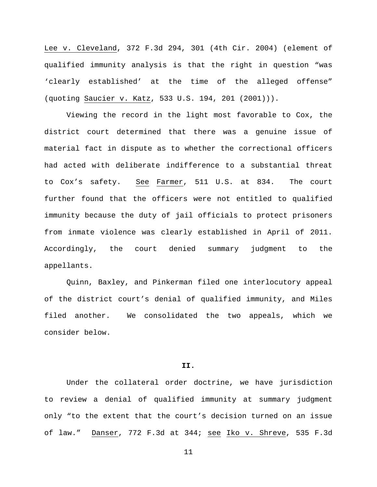Lee v. Cleveland, 372 F.3d 294, 301 (4th Cir. 2004) (element of qualified immunity analysis is that the right in question "was 'clearly established' at the time of the alleged offense" (quoting Saucier v. Katz, 533 U.S. 194, 201 (2001))).

Viewing the record in the light most favorable to Cox, the district court determined that there was a genuine issue of material fact in dispute as to whether the correctional officers had acted with deliberate indifference to a substantial threat to Cox's safety. See Farmer, 511 U.S. at 834. The court further found that the officers were not entitled to qualified immunity because the duty of jail officials to protect prisoners from inmate violence was clearly established in April of 2011. Accordingly, the court denied summary judgment to the appellants.

Quinn, Baxley, and Pinkerman filed one interlocutory appeal of the district court's denial of qualified immunity, and Miles filed another. We consolidated the two appeals, which we consider below.

## **II.**

Under the collateral order doctrine, we have jurisdiction to review a denial of qualified immunity at summary judgment only "to the extent that the court's decision turned on an issue of law." Danser, 772 F.3d at 344; see Iko v. Shreve, 535 F.3d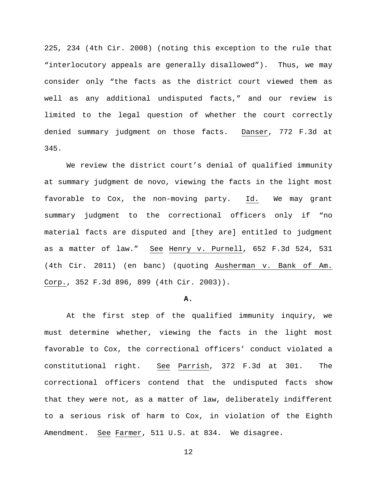225, 234 (4th Cir. 2008) (noting this exception to the rule that "interlocutory appeals are generally disallowed"). Thus, we may consider only "the facts as the district court viewed them as well as any additional undisputed facts," and our review is limited to the legal question of whether the court correctly denied summary judgment on those facts. Danser, 772 F.3d at 345.

We review the district court's denial of qualified immunity at summary judgment de novo, viewing the facts in the light most favorable to Cox, the non-moving party. Id. We may grant summary judgment to the correctional officers only if "no material facts are disputed and [they are] entitled to judgment as a matter of law." See Henry v. Purnell, 652 F.3d 524, 531 (4th Cir. 2011) (en banc) (quoting Ausherman v. Bank of Am. Corp., 352 F.3d 896, 899 (4th Cir. 2003)).

#### **A.**

At the first step of the qualified immunity inquiry, we must determine whether, viewing the facts in the light most favorable to Cox, the correctional officers' conduct violated a constitutional right. See Parrish, 372 F.3d at 301. The correctional officers contend that the undisputed facts show that they were not, as a matter of law, deliberately indifferent to a serious risk of harm to Cox, in violation of the Eighth Amendment. See Farmer, 511 U.S. at 834. We disagree.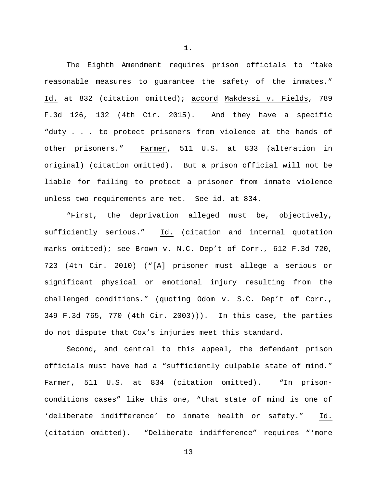The Eighth Amendment requires prison officials to "take reasonable measures to guarantee the safety of the inmates." Id. at 832 (citation omitted); accord Makdessi v. Fields, 789 F.3d 126, 132 (4th Cir. 2015). And they have a specific "duty . . . to protect prisoners from violence at the hands of other prisoners." Farmer, 511 U.S. at 833 (alteration in original) (citation omitted). But a prison official will not be liable for failing to protect a prisoner from inmate violence unless two requirements are met. See id. at 834.

"First, the deprivation alleged must be, objectively, sufficiently serious." Id. (citation and internal quotation marks omitted); see Brown v. N.C. Dep't of Corr., 612 F.3d 720, 723 (4th Cir. 2010) ("[A] prisoner must allege a serious or significant physical or emotional injury resulting from the challenged conditions." (quoting Odom v. S.C. Dep't of Corr., 349 F.3d 765, 770 (4th Cir. 2003))). In this case, the parties do not dispute that Cox's injuries meet this standard.

Second, and central to this appeal, the defendant prison officials must have had a "sufficiently culpable state of mind." Farmer, 511 U.S. at 834 (citation omitted). "In prisonconditions cases" like this one, "that state of mind is one of 'deliberate indifference' to inmate health or safety." Id. (citation omitted). "Deliberate indifference" requires "'more

13

**1.**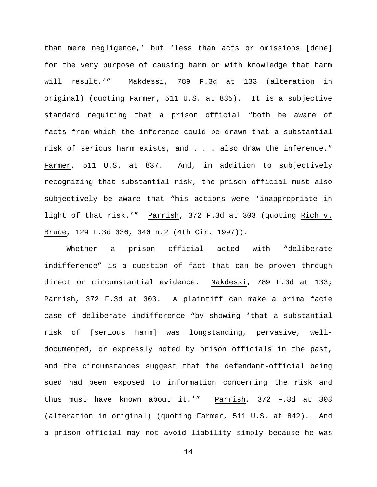than mere negligence,' but 'less than acts or omissions [done] for the very purpose of causing harm or with knowledge that harm will result.'" Makdessi, 789 F.3d at 133 (alteration in original) (quoting Farmer, 511 U.S. at 835). It is a subjective standard requiring that a prison official "both be aware of facts from which the inference could be drawn that a substantial risk of serious harm exists, and . . . also draw the inference." Farmer, 511 U.S. at 837. And, in addition to subjectively recognizing that substantial risk, the prison official must also subjectively be aware that "his actions were 'inappropriate in light of that risk.'" Parrish, 372 F.3d at 303 (quoting Rich v. Bruce, 129 F.3d 336, 340 n.2 (4th Cir. 1997)).

Whether a prison official acted with "deliberate indifference" is a question of fact that can be proven through direct or circumstantial evidence. Makdessi, 789 F.3d at 133; Parrish, 372 F.3d at 303. A plaintiff can make a prima facie case of deliberate indifference "by showing 'that a substantial risk of [serious harm] was longstanding, pervasive, welldocumented, or expressly noted by prison officials in the past, and the circumstances suggest that the defendant-official being sued had been exposed to information concerning the risk and thus must have known about it.'" Parrish, 372 F.3d at 303 (alteration in original) (quoting Farmer, 511 U.S. at 842). And a prison official may not avoid liability simply because he was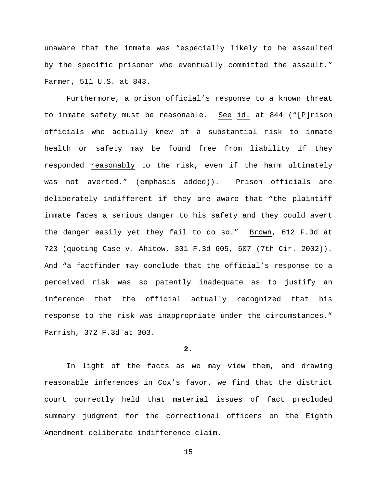unaware that the inmate was "especially likely to be assaulted by the specific prisoner who eventually committed the assault." Farmer, 511 U.S. at 843.

Furthermore, a prison official's response to a known threat to inmate safety must be reasonable. See id. at 844 ("[P]rison officials who actually knew of a substantial risk to inmate health or safety may be found free from liability if they responded reasonably to the risk, even if the harm ultimately was not averted." (emphasis added)). Prison officials are deliberately indifferent if they are aware that "the plaintiff inmate faces a serious danger to his safety and they could avert the danger easily yet they fail to do so." Brown, 612 F.3d at 723 (quoting Case v. Ahitow, 301 F.3d 605, 607 (7th Cir. 2002)). And "a factfinder may conclude that the official's response to a perceived risk was so patently inadequate as to justify an inference that the official actually recognized that his response to the risk was inappropriate under the circumstances." Parrish, 372 F.3d at 303.

## **2.**

In light of the facts as we may view them, and drawing reasonable inferences in Cox's favor, we find that the district court correctly held that material issues of fact precluded summary judgment for the correctional officers on the Eighth Amendment deliberate indifference claim.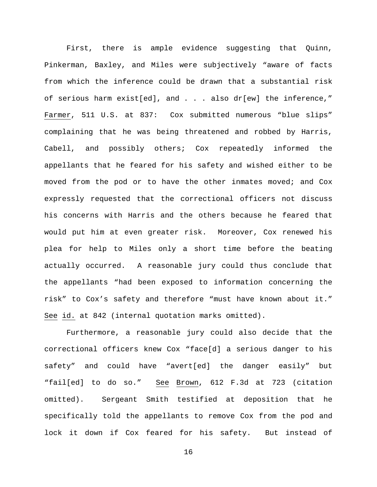First, there is ample evidence suggesting that Quinn, Pinkerman, Baxley, and Miles were subjectively "aware of facts from which the inference could be drawn that a substantial risk of serious harm exist[ed], and . . . also dr[ew] the inference," Farmer, 511 U.S. at 837: Cox submitted numerous "blue slips" complaining that he was being threatened and robbed by Harris, Cabell, and possibly others; Cox repeatedly informed the appellants that he feared for his safety and wished either to be moved from the pod or to have the other inmates moved; and Cox expressly requested that the correctional officers not discuss his concerns with Harris and the others because he feared that would put him at even greater risk. Moreover, Cox renewed his plea for help to Miles only a short time before the beating actually occurred. A reasonable jury could thus conclude that the appellants "had been exposed to information concerning the risk" to Cox's safety and therefore "must have known about it." See id. at 842 (internal quotation marks omitted).

Furthermore, a reasonable jury could also decide that the correctional officers knew Cox "face[d] a serious danger to his safety" and could have "avert[ed] the danger easily" but "fail[ed] to do so." See Brown, 612 F.3d at 723 (citation omitted). Sergeant Smith testified at deposition that he specifically told the appellants to remove Cox from the pod and lock it down if Cox feared for his safety. But instead of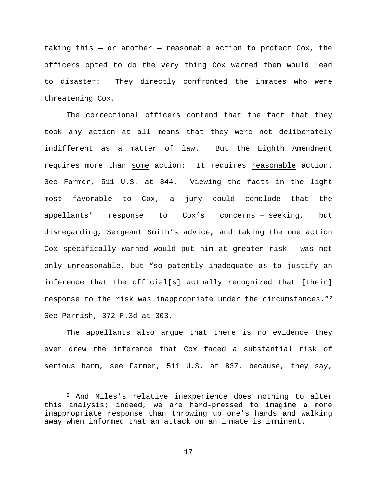taking this  $-$  or another  $-$  reasonable action to protect Cox, the officers opted to do the very thing Cox warned them would lead to disaster: They directly confronted the inmates who were threatening Cox.

The correctional officers contend that the fact that they took any action at all means that they were not deliberately indifferent as a matter of law. But the Eighth Amendment requires more than some action: It requires reasonable action. See Farmer, 511 U.S. at 844. Viewing the facts in the light most favorable to Cox, a jury could conclude that the appellants' response to Cox's concerns — seeking, but disregarding, Sergeant Smith's advice, and taking the one action Cox specifically warned would put him at greater risk — was not only unreasonable, but "so patently inadequate as to justify an inference that the official[s] actually recognized that [their] response to the risk was inappropriate under the circumstances."[2](#page-16-0) See Parrish, 372 F.3d at 303.

The appellants also argue that there is no evidence they ever drew the inference that Cox faced a substantial risk of serious harm, see Farmer, 511 U.S. at 837, because, they say,

<span id="page-16-0"></span> <sup>2</sup> And Miles's relative inexperience does nothing to alter this analysis; indeed, we are hard-pressed to imagine a more inappropriate response than throwing up one's hands and walking away when informed that an attack on an inmate is imminent.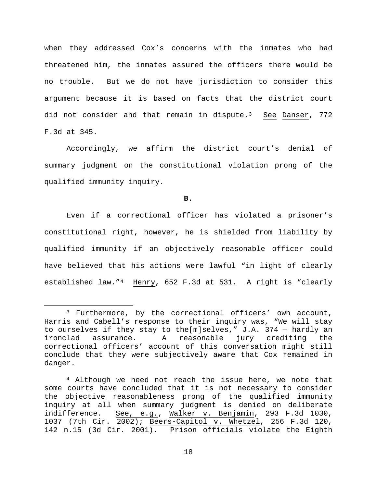when they addressed Cox's concerns with the inmates who had threatened him, the inmates assured the officers there would be no trouble. But we do not have jurisdiction to consider this argument because it is based on facts that the district court did not consider and that remain in dispute.<sup>[3](#page-17-0)</sup> See Danser, 772 F.3d at 345.

Accordingly, we affirm the district court's denial of summary judgment on the constitutional violation prong of the qualified immunity inquiry.

**B.**

Even if a correctional officer has violated a prisoner's constitutional right, however, he is shielded from liability by qualified immunity if an objectively reasonable officer could have believed that his actions were lawful "in light of clearly established law."[4](#page-17-1) Henry, 652 F.3d at 531. A right is "clearly

<span id="page-17-0"></span> <sup>3</sup> Furthermore, by the correctional officers' own account, Harris and Cabell's response to their inquiry was, "We will stay to ourselves if they stay to the[m]selves," J.A. 374 - hardly an<br>ironclad assurance. A reasonable jury crediting the jury crediting the correctional officers' account of this conversation might still conclude that they were subjectively aware that Cox remained in danger.

<span id="page-17-1"></span><sup>4</sup> Although we need not reach the issue here, we note that some courts have concluded that it is not necessary to consider the objective reasonableness prong of the qualified immunity inquiry at all when summary judgment is denied on deliberate See, e.g., Walker v. Benjamin, 293 F.3d 1030, 1037 (7th Cir. 2002); Beers-Capitol v. Whetzel, 256 F.3d 120, 142 n.15 (3d Cir. 2001). Prison officials violate the Eighth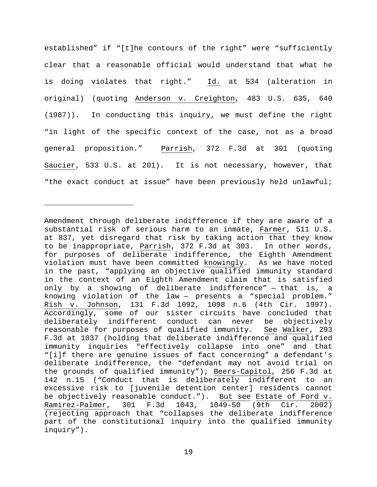established" if "[t]he contours of the right" were "sufficiently clear that a reasonable official would understand that what he is doing violates that right." Id. at 534 (alteration in original) (quoting Anderson v. Creighton, 483 U.S. 635, 640 (1987)). In conducting this inquiry, we must define the right "in light of the specific context of the case, not as a broad general proposition." Parrish, 372 F.3d at 301 (quoting Saucier, 533 U.S. at 201). It is not necessary, however, that "the exact conduct at issue" have been previously held unlawful;

Ĩ.

Amendment through deliberate indifference if they are aware of a substantial risk of serious harm to an inmate, Farmer, 511 U.S. at 837, yet disregard that risk by taking action that they know to be inappropriate, Parrish, 372 F.3d at 303. In other words, for purposes of deliberate indifference, the Eighth Amendment violation must have been committed knowingly. As we have noted in the past, "applying an objective qualified immunity standard in the context of an Eighth Amendment claim that is satisfied only by a showing of deliberate indifference" — that is, a knowing violation of the law — presents a "special problem." Rish v. Johnson, 131 F.3d 1092, 1098 n.6 (4th Cir. 1997). Accordingly, some of our sister circuits have concluded that<br>deliberately indifferent conduct can never be objectively deliberately indifferent conduct can never be reasonable for purposes of qualified immunity. See Walker, 293 F.3d at 1037 (holding that deliberate indifference and qualified immunity inquiries "effectively collapse into one" and that "[i]f there are genuine issues of fact concerning" a defendant's deliberate indifference, the "defendant may not avoid trial on the grounds of qualified immunity"); Beers-Capitol, 256 F.3d at 142 n.15 ("Conduct that is deliberately indifferent to an excessive risk to [juvenile detention center] residents cannot be objectively reasonable conduct."). <u>But see Estate of Ford v.</u><br>Ramirez-Palmer, 301 F.3d 1043, 1049-50 (9th Cir. 2002) Ramirez-Palmer, 301 F.3d 1043, 1049-50 (9th Cir. (rejecting approach that "collapses the deliberate indifference part of the constitutional inquiry into the qualified immunity inquiry").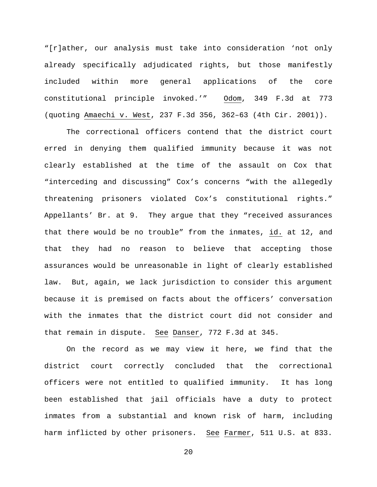"[r]ather, our analysis must take into consideration 'not only already specifically adjudicated rights, but those manifestly included within more general applications of the core constitutional principle invoked.'" Odom, 349 F.3d at 773 (quoting Amaechi v. West, 237 F.3d 356, 362–63 (4th Cir. 2001)).

The correctional officers contend that the district court erred in denying them qualified immunity because it was not clearly established at the time of the assault on Cox that "interceding and discussing" Cox's concerns "with the allegedly threatening prisoners violated Cox's constitutional rights." Appellants' Br. at 9. They argue that they "received assurances that there would be no trouble" from the inmates, id. at 12, and that they had no reason to believe that accepting those assurances would be unreasonable in light of clearly established law. But, again, we lack jurisdiction to consider this argument because it is premised on facts about the officers' conversation with the inmates that the district court did not consider and that remain in dispute. See Danser, 772 F.3d at 345.

On the record as we may view it here, we find that the district court correctly concluded that the correctional officers were not entitled to qualified immunity. It has long been established that jail officials have a duty to protect inmates from a substantial and known risk of harm, including harm inflicted by other prisoners. See Farmer, 511 U.S. at 833.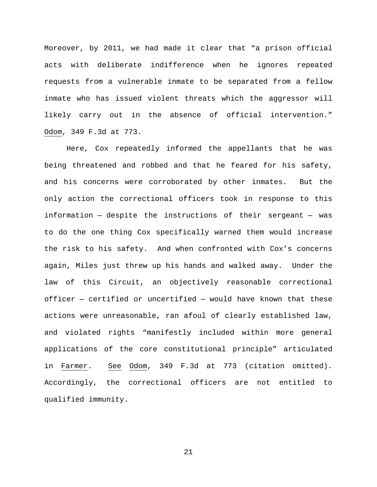Moreover, by 2011, we had made it clear that "a prison official acts with deliberate indifference when he ignores repeated requests from a vulnerable inmate to be separated from a fellow inmate who has issued violent threats which the aggressor will likely carry out in the absence of official intervention." Odom, 349 F.3d at 773.

Here, Cox repeatedly informed the appellants that he was being threatened and robbed and that he feared for his safety, and his concerns were corroborated by other inmates. But the only action the correctional officers took in response to this information — despite the instructions of their sergeant — was to do the one thing Cox specifically warned them would increase the risk to his safety. And when confronted with Cox's concerns again, Miles just threw up his hands and walked away. Under the law of this Circuit, an objectively reasonable correctional officer — certified or uncertified — would have known that these actions were unreasonable, ran afoul of clearly established law, and violated rights "manifestly included within more general applications of the core constitutional principle" articulated in Farmer. See Odom, 349 F.3d at 773 (citation omitted). Accordingly, the correctional officers are not entitled to qualified immunity.